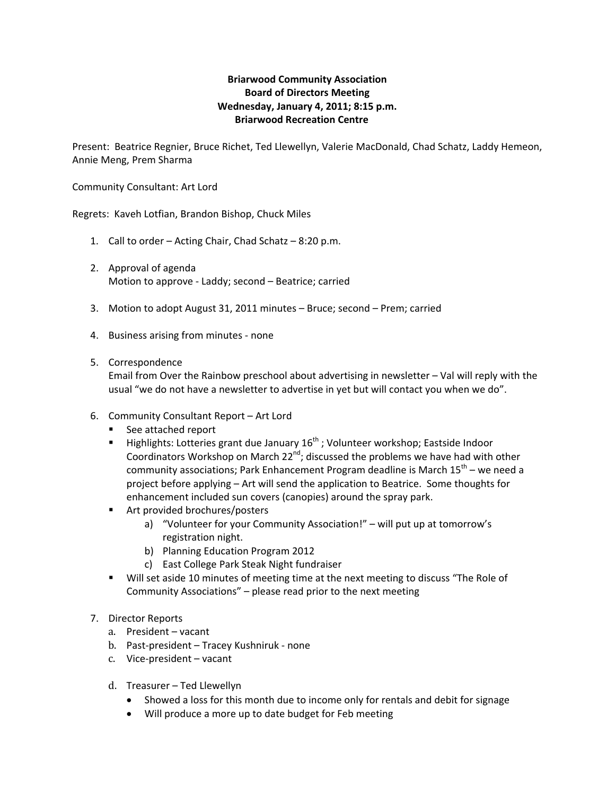## **Briarwood Community Association Board of Directors Meeting Wednesday, January 4, 2011; 8:15 p.m. Briarwood Recreation Centre**

Present: Beatrice Regnier, Bruce Richet, Ted Llewellyn, Valerie MacDonald, Chad Schatz, Laddy Hemeon, Annie Meng, Prem Sharma

Community Consultant: Art Lord

Regrets: Kaveh Lotfian, Brandon Bishop, Chuck Miles

- 1. Call to order Acting Chair, Chad Schatz 8:20 p.m.
- 2. Approval of agenda Motion to approve ‐ Laddy; second – Beatrice; carried
- 3. Motion to adopt August 31, 2011 minutes Bruce; second Prem; carried
- 4. Business arising from minutes ‐ none
- 5. Correspondence

Email from Over the Rainbow preschool about advertising in newsletter – Val will reply with the usual "we do not have a newsletter to advertise in yet but will contact you when we do".

- 6. Community Consultant Report Art Lord
	- See attached report
	- $\blacksquare$  Highlights: Lotteries grant due January 16<sup>th</sup>; Volunteer workshop; Eastside Indoor Coordinators Workshop on March 22<sup>nd</sup>; discussed the problems we have had with other community associations; Park Enhancement Program deadline is March  $15^{th}$  – we need a project before applying – Art will send the application to Beatrice. Some thoughts for enhancement included sun covers (canopies) around the spray park.
	- Art provided brochures/posters
		- a) "Volunteer for your Community Association!" will put up at tomorrow's registration night.
		- b) Planning Education Program 2012
		- c) East College Park Steak Night fundraiser
	- Will set aside 10 minutes of meeting time at the next meeting to discuss "The Role of Community Associations" – please read prior to the next meeting
- 7. Director Reports
	- a. President vacant
	- b. Past-president Tracey Kushniruk none
	- c. Vice‐president vacant
	- d. Treasurer Ted Llewellyn
		- Showed a loss for this month due to income only for rentals and debit for signage
		- Will produce a more up to date budget for Feb meeting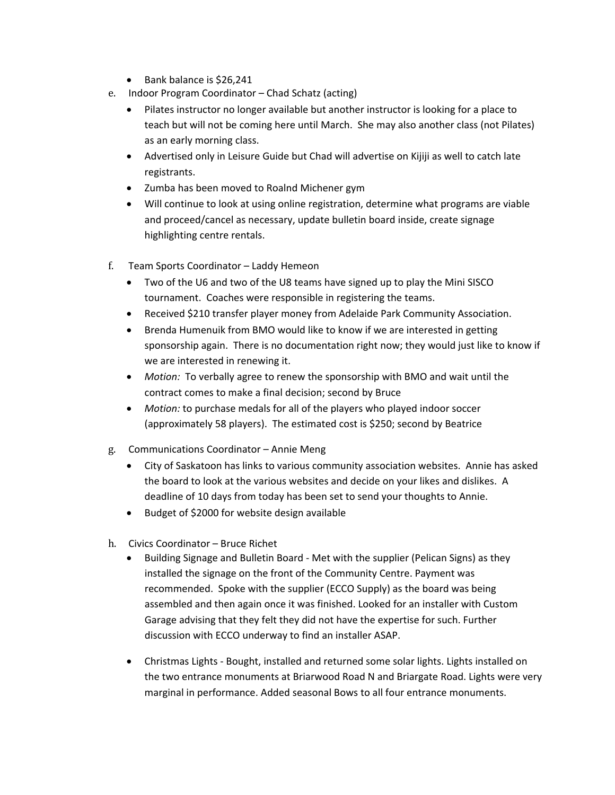- Bank balance is \$26,241
- e. Indoor Program Coordinator Chad Schatz (acting)
	- Pilates instructor no longer available but another instructor is looking for a place to teach but will not be coming here until March. She may also another class (not Pilates) as an early morning class.
	- Advertised only in Leisure Guide but Chad will advertise on Kijiji as well to catch late registrants.
	- Zumba has been moved to Roalnd Michener gym
	- Will continue to look at using online registration, determine what programs are viable and proceed/cancel as necessary, update bulletin board inside, create signage highlighting centre rentals.
- f. Team Sports Coordinator Laddy Hemeon
	- Two of the U6 and two of the U8 teams have signed up to play the Mini SISCO tournament. Coaches were responsible in registering the teams.
	- Received \$210 transfer player money from Adelaide Park Community Association.
	- Brenda Humenuik from BMO would like to know if we are interested in getting sponsorship again. There is no documentation right now; they would just like to know if we are interested in renewing it.
	- *Motion:* To verbally agree to renew the sponsorship with BMO and wait until the contract comes to make a final decision; second by Bruce
	- *Motion:* to purchase medals for all of the players who played indoor soccer (approximately 58 players). The estimated cost is \$250; second by Beatrice
- g. Communications Coordinator Annie Meng
	- City of Saskatoon has links to various community association websites. Annie has asked the board to look at the various websites and decide on your likes and dislikes. A deadline of 10 days from today has been set to send your thoughts to Annie.
	- Budget of \$2000 for website design available
- h. Civics Coordinator Bruce Richet
	- Building Signage and Bulletin Board Met with the supplier (Pelican Signs) as they installed the signage on the front of the Community Centre. Payment was recommended. Spoke with the supplier (ECCO Supply) as the board was being assembled and then again once it was finished. Looked for an installer with Custom Garage advising that they felt they did not have the expertise for such. Further discussion with ECCO underway to find an installer ASAP.
	- Christmas Lights ‐ Bought, installed and returned some solar lights. Lights installed on the two entrance monuments at Briarwood Road N and Briargate Road. Lights were very marginal in performance. Added seasonal Bows to all four entrance monuments.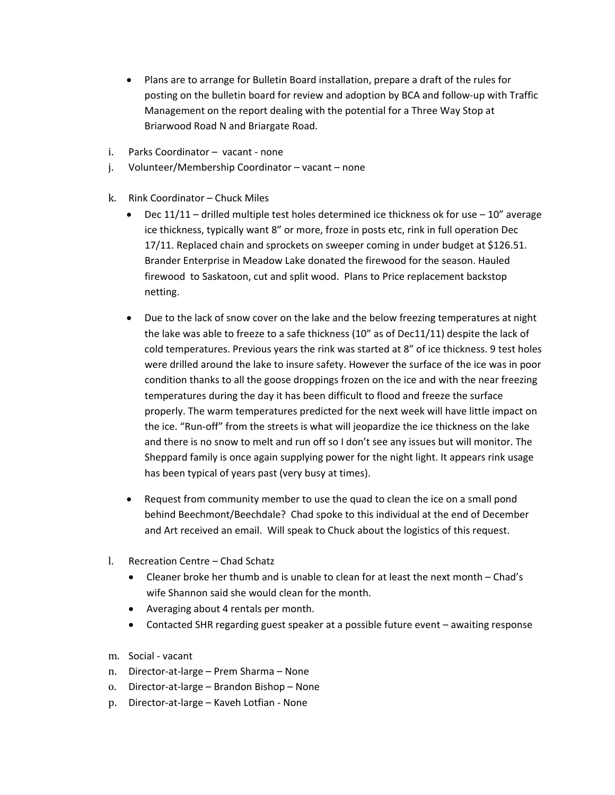- Plans are to arrange for Bulletin Board installation, prepare a draft of the rules for posting on the bulletin board for review and adoption by BCA and follow‐up with Traffic Management on the report dealing with the potential for a Three Way Stop at Briarwood Road N and Briargate Road.
- i. Parks Coordinator vacant ‐ none
- Volunteer/Membership Coordinator vacant none j.
- k. Rink Coordinator Chuck Miles
	- Dec  $11/11$  drilled multiple test holes determined ice thickness ok for use  $10''$  average ice thickness, typically want 8" or more, froze in posts etc, rink in full operation Dec 17/11. Replaced chain and sprockets on sweeper coming in under budget at \$126.51. Brander Enterprise in Meadow Lake donated the firewood for the season. Hauled firewood to Saskatoon, cut and split wood. Plans to Price replacement backstop netting.
	- Due to the lack of snow cover on the lake and the below freezing temperatures at night the lake was able to freeze to a safe thickness (10" as of Dec11/11) despite the lack of cold temperatures. Previous years the rink was started at 8" of ice thickness. 9 test holes were drilled around the lake to insure safety. However the surface of the ice was in poor condition thanks to all the goose droppings frozen on the ice and with the near freezing temperatures during the day it has been difficult to flood and freeze the surface properly. The warm temperatures predicted for the next week will have little impact on the ice. "Run‐off" from the streets is what will jeopardize the ice thickness on the lake and there is no snow to melt and run off so I don't see any issues but will monitor. The Sheppard family is once again supplying power for the night light. It appears rink usage has been typical of years past (very busy at times).
	- Request from community member to use the quad to clean the ice on a small pond behind Beechmont/Beechdale? Chad spoke to this individual at the end of December and Art received an email. Will speak to Chuck about the logistics of this request.
- l. Recreation Centre Chad Schatz
	- Cleaner broke her thumb and is unable to clean for at least the next month Chad's wife Shannon said she would clean for the month.
	- Averaging about 4 rentals per month.
	- Contacted SHR regarding guest speaker at a possible future event awaiting response
- m. Social ‐ vacant
- n. Director‐at‐large Prem Sharma None
- o. Director-at-large Brandon Bishop None
- p. Director‐at‐large Kaveh Lotfian ‐ None